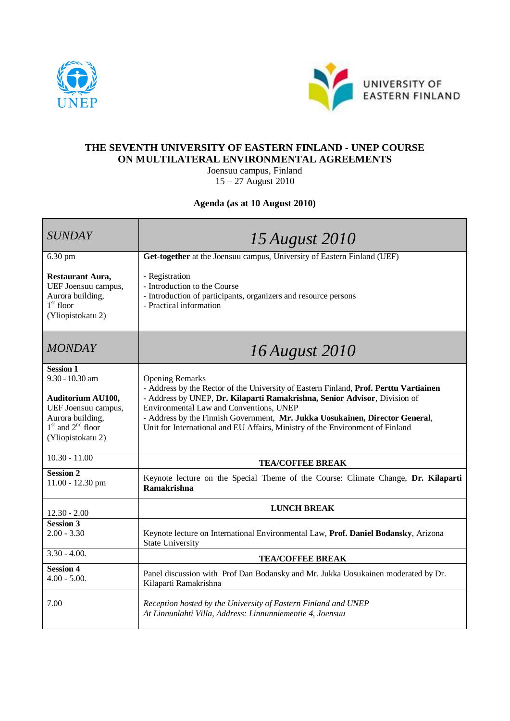



## **THE SEVENTH UNIVERSITY OF EASTERN FINLAND - UNEP COURSE ON MULTILATERAL ENVIRONMENTAL AGREEMENTS**

Joensuu campus, Finland 15 – 27 August 2010

## **Agenda (as at 10 August 2010)**

| <b>SUNDAY</b>                                                                                                                                              | 15 August 2010                                                                                                                                                                                                                                                                                                                                                                                           |
|------------------------------------------------------------------------------------------------------------------------------------------------------------|----------------------------------------------------------------------------------------------------------------------------------------------------------------------------------------------------------------------------------------------------------------------------------------------------------------------------------------------------------------------------------------------------------|
| $6.30$ pm                                                                                                                                                  | Get-together at the Joensuu campus, University of Eastern Finland (UEF)                                                                                                                                                                                                                                                                                                                                  |
| <b>Restaurant Aura,</b><br>UEF Joensuu campus,<br>Aurora building,<br>$1^\mathrm{st}$ floor<br>(Yliopistokatu 2)                                           | - Registration<br>- Introduction to the Course<br>- Introduction of participants, organizers and resource persons<br>- Practical information                                                                                                                                                                                                                                                             |
| <b>MONDAY</b>                                                                                                                                              | 16 August 2010                                                                                                                                                                                                                                                                                                                                                                                           |
| <b>Session 1</b><br>$9.30 - 10.30$ am<br><b>Auditorium AU100,</b><br>UEF Joensuu campus,<br>Aurora building,<br>$1st$ and $2nd$ floor<br>(Yliopistokatu 2) | <b>Opening Remarks</b><br>- Address by the Rector of the University of Eastern Finland, Prof. Perttu Vartiainen<br>- Address by UNEP, Dr. Kilaparti Ramakrishna, Senior Advisor, Division of<br>Environmental Law and Conventions, UNEP<br>- Address by the Finnish Government, Mr. Jukka Uosukainen, Director General,<br>Unit for International and EU Affairs, Ministry of the Environment of Finland |
| $10.30 - 11.00$                                                                                                                                            | <b>TEA/COFFEE BREAK</b>                                                                                                                                                                                                                                                                                                                                                                                  |
| <b>Session 2</b><br>11.00 - 12.30 pm                                                                                                                       | Keynote lecture on the Special Theme of the Course: Climate Change, Dr. Kilaparti<br><b>Ramakrishna</b>                                                                                                                                                                                                                                                                                                  |
| $12.30 - 2.00$                                                                                                                                             | <b>LUNCH BREAK</b>                                                                                                                                                                                                                                                                                                                                                                                       |
| <b>Session 3</b><br>$2.00 - 3.30$                                                                                                                          | Keynote lecture on International Environmental Law, Prof. Daniel Bodansky, Arizona<br><b>State University</b>                                                                                                                                                                                                                                                                                            |
| $3.30 - 4.00$ .                                                                                                                                            | <b>TEA/COFFEE BREAK</b>                                                                                                                                                                                                                                                                                                                                                                                  |
| <b>Session 4</b><br>$4.00 - 5.00$ .                                                                                                                        | Panel discussion with Prof Dan Bodansky and Mr. Jukka Uosukainen moderated by Dr.<br>Kilaparti Ramakrishna                                                                                                                                                                                                                                                                                               |
| 7.00                                                                                                                                                       | Reception hosted by the University of Eastern Finland and UNEP<br>At Linnunlahti Villa, Address: Linnunniementie 4, Joensuu                                                                                                                                                                                                                                                                              |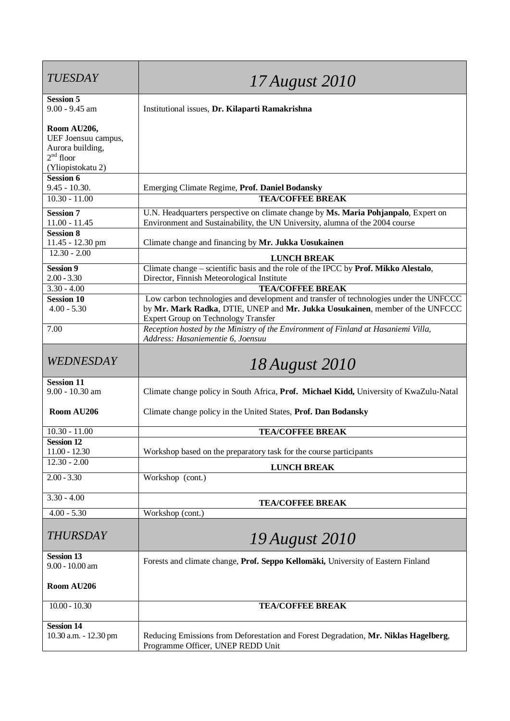| <b>TUESDAY</b>                             | 17 August 2010                                                                                                             |
|--------------------------------------------|----------------------------------------------------------------------------------------------------------------------------|
| <b>Session 5</b><br>$9.00 - 9.45$ am       |                                                                                                                            |
|                                            | Institutional issues, Dr. Kilaparti Ramakrishna                                                                            |
| Room AU206,                                |                                                                                                                            |
| UEF Joensuu campus,                        |                                                                                                                            |
| Aurora building,<br>$2nd$ floor            |                                                                                                                            |
| (Yliopistokatu 2)                          |                                                                                                                            |
| <b>Session 6</b>                           |                                                                                                                            |
| $9.45 - 10.30.$                            | Emerging Climate Regime, Prof. Daniel Bodansky                                                                             |
| $10.30 - 11.00$                            | <b>TEA/COFFEE BREAK</b>                                                                                                    |
| <b>Session 7</b>                           | U.N. Headquarters perspective on climate change by Ms. Maria Pohjanpalo, Expert on                                         |
| $11.00 - 11.45$                            | Environment and Sustainability, the UN University, alumna of the 2004 course                                               |
| <b>Session 8</b><br>11.45 - 12.30 pm       | Climate change and financing by Mr. Jukka Uosukainen                                                                       |
| $12.30 - 2.00$                             |                                                                                                                            |
| <b>Session 9</b>                           | <b>LUNCH BREAK</b><br>Climate change – scientific basis and the role of the IPCC by Prof. Mikko Alestalo,                  |
| $2.00 - 3.30$                              | Director, Finnish Meteorological Institute                                                                                 |
| $3.30 - 4.00$                              | <b>TEA/COFFEE BREAK</b>                                                                                                    |
| <b>Session 10</b>                          | Low carbon technologies and development and transfer of technologies under the UNFCCC                                      |
| $4.00 - 5.30$                              | by Mr. Mark Radka, DTIE, UNEP and Mr. Jukka Uosukainen, member of the UNFCCC<br><b>Expert Group on Technology Transfer</b> |
| 7.00                                       | Reception hosted by the Ministry of the Environment of Finland at Hasaniemi Villa,<br>Address: Hasaniementie 6, Joensuu    |
| WEDNESDAY                                  | 18 August 2010                                                                                                             |
| <b>Session 11</b>                          |                                                                                                                            |
| 9.00 - 10.30 am                            | Climate change policy in South Africa, Prof. Michael Kidd, University of KwaZulu-Natal                                     |
| Room AU206                                 | Climate change policy in the United States, Prof. Dan Bodansky                                                             |
| $10.30 - 11.00$                            | <b>TEA/COFFEE BREAK</b>                                                                                                    |
| <b>Session 12</b>                          |                                                                                                                            |
| $11.00 - 12.30$<br>$12.30 - 2.00$          | Workshop based on the preparatory task for the course participants                                                         |
|                                            | <b>LUNCH BREAK</b>                                                                                                         |
| $2.00 - 3.30$                              | Workshop (cont.)                                                                                                           |
| $3.30 - 4.00$                              | <b>TEA/COFFEE BREAK</b>                                                                                                    |
| $4.00 - 5.30$                              | Workshop (cont.)                                                                                                           |
| <b>THURSDAY</b>                            | 19 August 2010                                                                                                             |
| <b>Session 13</b><br>$9.00 - 10.00$ am     | Forests and climate change, Prof. Seppo Kellomäki, University of Eastern Finland                                           |
| Room AU206                                 |                                                                                                                            |
| $10.00 - 10.30$                            | <b>TEA/COFFEE BREAK</b>                                                                                                    |
| <b>Session 14</b><br>10.30 a.m. - 12.30 pm | Reducing Emissions from Deforestation and Forest Degradation, Mr. Niklas Hagelberg,<br>Programme Officer, UNEP REDD Unit   |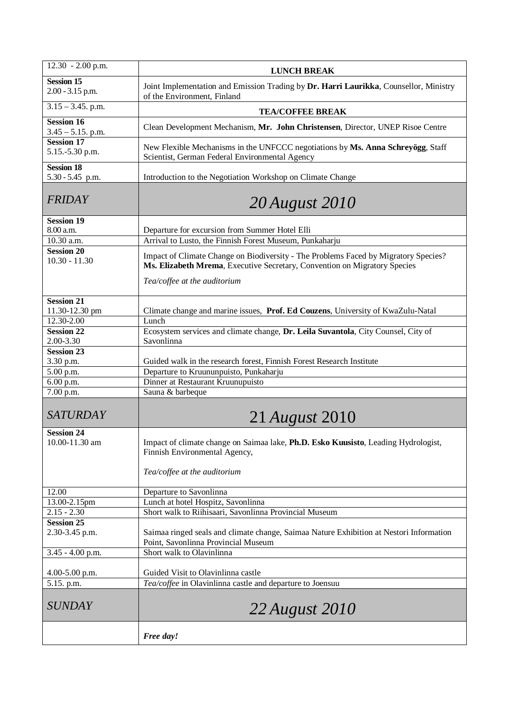| $12.30 - 2.00$ p.m.                       | <b>LUNCH BREAK</b>                                                                                                                                                                               |
|-------------------------------------------|--------------------------------------------------------------------------------------------------------------------------------------------------------------------------------------------------|
| <b>Session 15</b><br>$2.00 - 3.15$ p.m.   | Joint Implementation and Emission Trading by Dr. Harri Laurikka, Counsellor, Ministry<br>of the Environment, Finland                                                                             |
| $3.15 - 3.45$ . p.m.                      | <b>TEA/COFFEE BREAK</b>                                                                                                                                                                          |
| <b>Session 16</b><br>$3.45 - 5.15$ . p.m. | Clean Development Mechanism, Mr. John Christensen, Director, UNEP Risoe Centre                                                                                                                   |
| <b>Session 17</b><br>5.15.-5.30 p.m.      | New Flexible Mechanisms in the UNFCCC negotiations by Ms. Anna Schreyögg, Staff<br>Scientist, German Federal Environmental Agency                                                                |
| <b>Session 18</b><br>5.30 - 5.45 p.m.     | Introduction to the Negotiation Workshop on Climate Change                                                                                                                                       |
| <b>FRIDAY</b>                             | <b>20 August 2010</b>                                                                                                                                                                            |
| <b>Session 19</b><br>8.00 a.m.            | Departure for excursion from Summer Hotel Elli                                                                                                                                                   |
| 10.30 a.m.                                | Arrival to Lusto, the Finnish Forest Museum, Punkaharju                                                                                                                                          |
| <b>Session 20</b><br>$10.30 - 11.30$      | Impact of Climate Change on Biodiversity - The Problems Faced by Migratory Species?<br>Ms. Elizabeth Mrema, Executive Secretary, Convention on Migratory Species<br>Tea/coffee at the auditorium |
|                                           |                                                                                                                                                                                                  |
| <b>Session 21</b><br>11.30-12.30 pm       | Climate change and marine issues, Prof. Ed Couzens, University of KwaZulu-Natal                                                                                                                  |
| 12.30-2.00                                | Lunch                                                                                                                                                                                            |
| <b>Session 22</b><br>2.00-3.30            | Ecosystem services and climate change, Dr. Leila Suvantola, City Counsel, City of<br>Savonlinna                                                                                                  |
| <b>Session 23</b>                         |                                                                                                                                                                                                  |
| 3.30 p.m.                                 | Guided walk in the research forest, Finnish Forest Research Institute                                                                                                                            |
| 5.00 p.m.                                 | Departure to Kruununpuisto, Punkaharju                                                                                                                                                           |
| 6.00 p.m.                                 | Dinner at Restaurant Kruunupuisto                                                                                                                                                                |
| 7.00 p.m.                                 | Sauna & barbeque                                                                                                                                                                                 |
| <b>SATURDAY</b>                           | 21 <i>August</i> 2010                                                                                                                                                                            |
| <b>Session 24</b><br>10.00-11.30 am       | Impact of climate change on Saimaa lake, Ph.D. Esko Kuusisto, Leading Hydrologist,<br>Finnish Environmental Agency,<br>Tea/coffee at the auditorium                                              |
| 12.00                                     | Departure to Savonlinna                                                                                                                                                                          |
| 13.00-2.15pm                              | Lunch at hotel Hospitz, Savonlinna                                                                                                                                                               |
| $2.15 - 2.30$                             | Short walk to Riihisaari, Savonlinna Provincial Museum                                                                                                                                           |
| <b>Session 25</b><br>2.30-3.45 p.m.       | Saimaa ringed seals and climate change, Saimaa Nature Exhibition at Nestori Information<br>Point, Savonlinna Provincial Museum                                                                   |
| $3.45 - 4.00$ p.m.                        | Short walk to Olavinlinna                                                                                                                                                                        |
| $4.00 - 5.00$ p.m.                        | Guided Visit to Olavinlinna castle                                                                                                                                                               |
| 5.15. p.m.                                | Tea/coffee in Olavinlinna castle and departure to Joensuu                                                                                                                                        |
| <b>SUNDAY</b>                             | 22 August 2010                                                                                                                                                                                   |
|                                           | Free day!                                                                                                                                                                                        |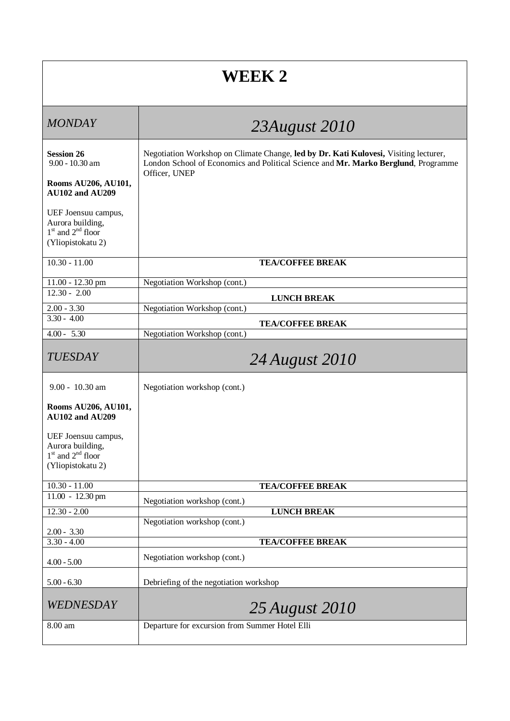## **WEEK 2**

| <b>MONDAY</b>                                                                         | 23August 2010                                                                                                                                                                               |
|---------------------------------------------------------------------------------------|---------------------------------------------------------------------------------------------------------------------------------------------------------------------------------------------|
| <b>Session 26</b><br>$9.00 - 10.30$ am                                                | Negotiation Workshop on Climate Change, led by Dr. Kati Kulovesi, Visiting lecturer,<br>London School of Economics and Political Science and Mr. Marko Berglund, Programme<br>Officer, UNEP |
| Rooms AU206, AU101,<br><b>AU102 and AU209</b>                                         |                                                                                                                                                                                             |
| UEF Joensuu campus,<br>Aurora building,<br>$1st$ and $2nd$ floor<br>(Yliopistokatu 2) |                                                                                                                                                                                             |
| $10.30 - 11.00$                                                                       | <b>TEA/COFFEE BREAK</b>                                                                                                                                                                     |
| $11.00 - 12.30$ pm                                                                    | Negotiation Workshop (cont.)                                                                                                                                                                |
| $12.30 - 2.00$                                                                        | <b>LUNCH BREAK</b>                                                                                                                                                                          |
| $2.00 - 3.30$<br>$3.30 - 4.00$                                                        | Negotiation Workshop (cont.)                                                                                                                                                                |
|                                                                                       | <b>TEA/COFFEE BREAK</b>                                                                                                                                                                     |
| $4.00 - 5.30$                                                                         | Negotiation Workshop (cont.)                                                                                                                                                                |
| <b>TUESDAY</b>                                                                        | 24 August 2010                                                                                                                                                                              |
| $9.00 - 10.30$ am                                                                     | Negotiation workshop (cont.)                                                                                                                                                                |
| Rooms AU206, AU101,<br><b>AU102 and AU209</b>                                         |                                                                                                                                                                                             |
| UEF Joensuu campus,                                                                   |                                                                                                                                                                                             |
| Aurora building,                                                                      |                                                                                                                                                                                             |
| $1st$ and $2nd$ floor<br>(Yliopistokatu 2)                                            |                                                                                                                                                                                             |
|                                                                                       |                                                                                                                                                                                             |
| $10.30 - 11.00$                                                                       | <b>TEA/COFFEE BREAK</b>                                                                                                                                                                     |
| 11.00 - 12.30 pm                                                                      | Negotiation workshop (cont.)                                                                                                                                                                |
| $12.30 - 2.00$                                                                        | <b>LUNCH BREAK</b><br>Negotiation workshop (cont.)                                                                                                                                          |
| $2.00 - 3.30$                                                                         |                                                                                                                                                                                             |
| $3.30 - 4.00$                                                                         | <b>TEA/COFFEE BREAK</b>                                                                                                                                                                     |
| $4.00 - 5.00$                                                                         | Negotiation workshop (cont.)                                                                                                                                                                |
| $5.00 - 6.30$                                                                         | Debriefing of the negotiation workshop                                                                                                                                                      |
| WEDNESDAY                                                                             | 25 August 2010                                                                                                                                                                              |
| 8.00 am                                                                               | Departure for excursion from Summer Hotel Elli                                                                                                                                              |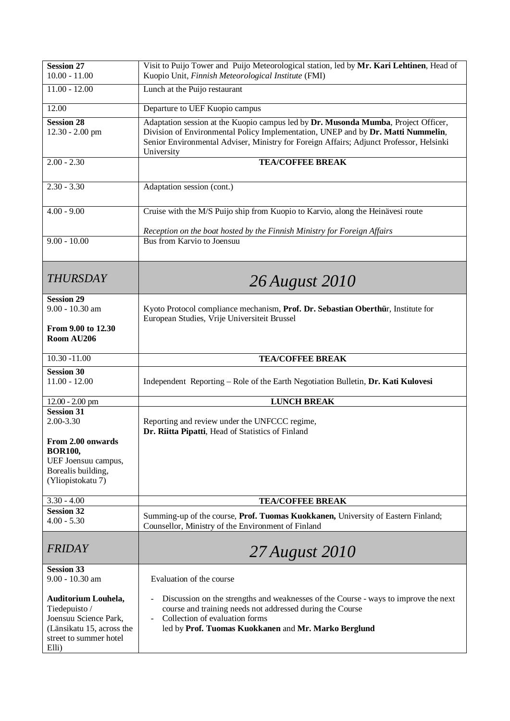| <b>Session 27</b><br>$10.00 - 11.00$                                                                                          | Visit to Puijo Tower and Puijo Meteorological station, led by Mr. Kari Lehtinen, Head of<br>Kuopio Unit, Finnish Meteorological Institute (FMI)                                                                                                                                 |
|-------------------------------------------------------------------------------------------------------------------------------|---------------------------------------------------------------------------------------------------------------------------------------------------------------------------------------------------------------------------------------------------------------------------------|
| $11.00 - 12.00$                                                                                                               | Lunch at the Puijo restaurant                                                                                                                                                                                                                                                   |
| 12.00                                                                                                                         | Departure to UEF Kuopio campus                                                                                                                                                                                                                                                  |
| <b>Session 28</b><br>$12.30 - 2.00$ pm                                                                                        | Adaptation session at the Kuopio campus led by Dr. Musonda Mumba, Project Officer,<br>Division of Environmental Policy Implementation, UNEP and by Dr. Matti Nummelin,<br>Senior Environmental Adviser, Ministry for Foreign Affairs; Adjunct Professor, Helsinki<br>University |
| $2.00 - 2.30$                                                                                                                 | <b>TEA/COFFEE BREAK</b>                                                                                                                                                                                                                                                         |
| $2.30 - 3.30$                                                                                                                 | Adaptation session (cont.)                                                                                                                                                                                                                                                      |
| $4.00 - 9.00$                                                                                                                 | Cruise with the M/S Puijo ship from Kuopio to Karvio, along the Heinävesi route                                                                                                                                                                                                 |
|                                                                                                                               | Reception on the boat hosted by the Finnish Ministry for Foreign Affairs                                                                                                                                                                                                        |
| $9.00 - 10.00$                                                                                                                | Bus from Karvio to Joensuu                                                                                                                                                                                                                                                      |
| <b>THURSDAY</b>                                                                                                               | 26 August 2010                                                                                                                                                                                                                                                                  |
| <b>Session 29</b><br>9.00 - 10.30 am                                                                                          | Kyoto Protocol compliance mechanism, Prof. Dr. Sebastian Oberthür, Institute for<br>European Studies, Vrije Universiteit Brussel                                                                                                                                                |
| From 9.00 to 12.30<br>Room AU206                                                                                              |                                                                                                                                                                                                                                                                                 |
| $10.30 - 11.00$                                                                                                               | <b>TEA/COFFEE BREAK</b>                                                                                                                                                                                                                                                         |
| <b>Session 30</b><br>$11.00 - 12.00$                                                                                          | Independent Reporting - Role of the Earth Negotiation Bulletin, Dr. Kati Kulovesi                                                                                                                                                                                               |
| $12.00 - 2.00$ pm                                                                                                             | <b>LUNCH BREAK</b>                                                                                                                                                                                                                                                              |
| <b>Session 31</b><br>2.00-3.30                                                                                                | Reporting and review under the UNFCCC regime,<br>Dr. Riitta Pipatti, Head of Statistics of Finland                                                                                                                                                                              |
| From 2.00 onwards<br><b>BOR100,</b><br>UEF Joensuu campus,<br>Borealis building,<br>(Yliopistokatu 7)                         |                                                                                                                                                                                                                                                                                 |
| $3.30 - 4.00$                                                                                                                 | <b>TEA/COFFEE BREAK</b>                                                                                                                                                                                                                                                         |
| <b>Session 32</b><br>$4.00 - 5.30$                                                                                            | Summing-up of the course, Prof. Tuomas Kuokkanen, University of Eastern Finland;<br>Counsellor, Ministry of the Environment of Finland                                                                                                                                          |
| <b>FRIDAY</b>                                                                                                                 | 27 August 2010                                                                                                                                                                                                                                                                  |
| <b>Session 33</b>                                                                                                             |                                                                                                                                                                                                                                                                                 |
| 9.00 - 10.30 am                                                                                                               | Evaluation of the course                                                                                                                                                                                                                                                        |
| Auditorium Louhela,<br>Tiedepuisto /<br>Joensuu Science Park,<br>(Länsikatu 15, across the<br>street to summer hotel<br>Elli) | Discussion on the strengths and weaknesses of the Course - ways to improve the next<br>course and training needs not addressed during the Course<br>Collection of evaluation forms<br>led by Prof. Tuomas Kuokkanen and Mr. Marko Berglund                                      |